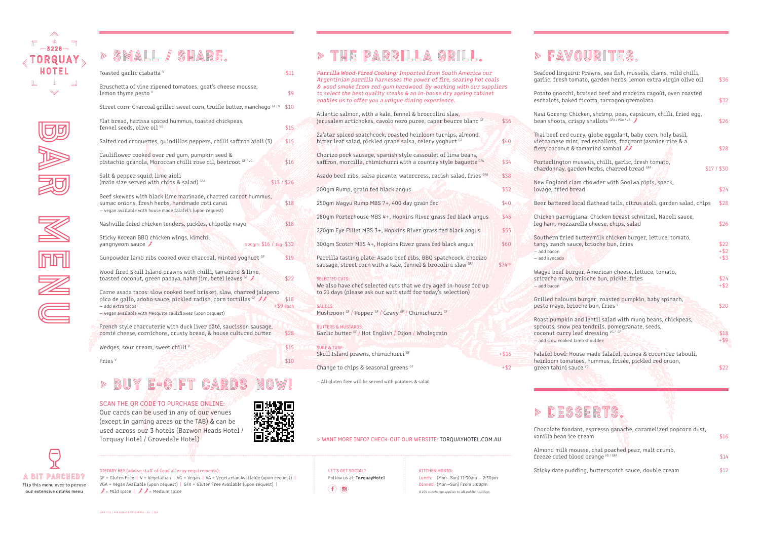

us<br>Bar<br>Bar

menu di K

# > SMALL / share.

| Toasted garlic ciabatta V                                                                                                                                                                                               | \$11                |
|-------------------------------------------------------------------------------------------------------------------------------------------------------------------------------------------------------------------------|---------------------|
| Bruschetta of vine ripened tomatoes, goat's cheese mousse,<br>lemon thyme pesto v                                                                                                                                       | \$9                 |
| Street corn: Charcoal grilled sweet corn, truffle butter, manchego GF/V                                                                                                                                                 | \$10                |
| Flat bread, harissa spiced hummus, toasted chickpeas,<br>fennel seeds, olive oil VG                                                                                                                                     | \$15                |
| Salted cod croquettes, guindillas peppers, chilli saffron aioli (3)                                                                                                                                                     | \$15                |
| Cauliflower cooked over red gum, pumpkin seed &<br>pistachio granola, Moroccan chilli rose oil, beetroot GF/VG                                                                                                          | \$16                |
| Salt & pepper squid, lime aioli<br>(main size served with chips & salad) GFA<br>\$13 / \$26                                                                                                                             |                     |
| Beef skewers with black lime marinade, charred carrot hummus,<br>sumac onions, fresh herbs, handmade roti canai<br>- vegan available with house made falafel's (upon request)                                           | \$18                |
| Nashville fried chicken tenders, pickles, chipotle mayo                                                                                                                                                                 | \$18                |
| Sticky Korean BBQ chicken wings, kimchi,<br>yangnyeom sauce $\hat{\mathcal{J}}$<br>500gm: \$16 / 1kg: \$32                                                                                                              |                     |
| Gunpowder lamb ribs cooked over charcoal, minted yoghurt GF                                                                                                                                                             | \$19                |
| Wood fired Skull Island prawns with chilli, tamarind & lime,<br>toasted coconut, green papaya, nahm jim, betel leaves <sup>GF</sup>                                                                                     | \$22                |
| Carne asada tacos: slow cooked beef brisket, slaw, charred jalapeno<br>pica de gallo, adobo sauce, pickled radish, corn tortillas GF<br>- add extra tacos<br>- vegan available with Mesquite cauliflower (upon request) | \$18<br>$+ $9$ each |
| French style charcuterie with duck liver pâté, saucisson sausage,<br>comté cheese, cornichons, crusty bread, & house cultured butter                                                                                    | \$28                |
| Wedges, sour cream, sweet chilli $V$                                                                                                                                                                                    | \$15                |
|                                                                                                                                                                                                                         |                     |

Fries V

# BUY E-GIFT CARD

**\$10 \$10 \$10** 

## SCAN THE OR CODE TO PURCHASE ONLINE:

Parrilla Wood-Fired Cooking: Imported from South America our Argentinian parrilla harnesses the power of fire, searing hot coals & wood smoke from red-gum hardwood. By working with our suppliers to select the best quality steaks & an in-house dry ageing cabinet enables us to offer you a unique dining experience. Atlantic salmon, with a kale, fennel & broccolini slaw, jerusalem artichokes, cavolo nero puree, caper beurre blanc GF \$36 Za'atar spiced spatchcock, roasted heirloom turnips, almond, bitter leaf salad, pickled grape salsa, celery yoghurt GF \$40 Chorizo pork sausage, spanish style cassoulet of lima beans, saffron, morcilla, chimichurri with a country style baguette GFA \$34 Asado beef ribs, salsa picante, watercress, radish salad, fries GFA \$38 200gm Rump, grain fed black angus **\$32**  $250$ gm Wagyu Rump MBS 7+, 400 day grain fed  $$40$ 280gm Porterhouse MBS 4+, Hopkins River grass fed black angus \$45 220gm Eye Fillet MBS 3+, Hopkins River grass fed black angus \$55 300gm Scotch MBS 4+, Hopkins River grass fed black angus \$60 Parrilla tasting plate: Asado beef ribs, BBQ spatchcock, chorizo sausage, street corn with a kale, fennel & brocolini slaw GFA \$74PP SELECTED CUTS: We also have chef selected cuts that we dry aged in-house for up to 21 days (please ask our wait staff for today's selection) SAUCES: Mushroom GF / Pepper GF / Gravy GF / Chimichurri GF BUTTERS & MUSTARDS: Garlic butter GF / Hot English / Dijon / Wholegrain

SURF & TURF: Skull Island prawns, chimichurri  $GF$   $+ $16$ 

Change to chips & seasonal greens  $GF$   $+ $2$ 

## LET'S GET SOCIAL?  $\left(\mathbf{f}\right)\left(\mathbf{0}\right)$

| ii: Prawns, sea fish, mussels, clams, mild chilli,<br>mato, garden herbs, lemon extra virgin olive oil                                   | \$36               |
|------------------------------------------------------------------------------------------------------------------------------------------|--------------------|
| braised beef and madeira ragoût, oven roasted<br>d ricotta, tarragon gremolata                                                           | \$32               |
| icken, shrimp, peas, capsicum, chilli, fried egg,<br>ispy shallots GFA/VGA/VA                                                            | \$26               |
| urry, globe eggplant, baby corn, holy basil,<br>it, red eshallots, fragrant jasmine rice & a<br>tamarind sambal $\mathscr{I}\mathscr{I}$ | \$28               |
| nussels, chilli, garlic, fresh tomato,<br>rden herbs, charred bread <sup>GFA</sup>                                                       | $$17/$ \$30        |
| am chowder with Goolwa pipis, speck,<br>ead:                                                                                             | \$24               |
| ocal flathead tails, citrus aioli, garden salad, chips                                                                                   | \$28               |
| iana: Chicken breast schnitzel, Napoli sauce,<br>rella cheese, chips, salad                                                              | \$26               |
| buttermilk chicken burger, lettuce, tomato,<br>ice, brioche bun, fries                                                                   | \$22               |
|                                                                                                                                          | $+$ \$2<br>$+$ \$3 |
| ger, American cheese, lettuce, tomato,<br>brioche bun, pickle, fries                                                                     | \$24<br>$+$ \$2    |
| i burger, roasted pumpkin, baby spinach,<br>oche bun, fries V                                                                            | \$20               |
| and lentil salad with mung beans, chickpeas,<br>ea tendrils, pomegranate, seeds,<br>eaf dressing VG / GF<br>amb shoulder                 | \$18<br>$+$ \$9    |
| ouse made falafel, quinoa & cucumber tabouli,<br>oes, hummus, frisée, pickled red onion,<br>uce VG                                       | \$22               |
|                                                                                                                                          |                    |

## > Desserts.

| ant, espresso ganache, caramelized popcorn dust,<br>e cream  | \$16 |
|--------------------------------------------------------------|------|
| ousse, chai poached pear, malt crumb,<br>ood orange VG / GFA | \$14 |
| ding, butterscotch sauce, double cream                       | \$12 |

# > THE PARRILLA GRILL.

— All gluten free will be served with potatoes & salad

A BIT PARCHED? Flip this menu over to peruse our extensive drinks menu

JUNE 2022 | BAR DRINKS & FOOD MENUS — A3 | TQH

Our cards can be used in any of our venues (except in gaming areas or the TAB) & can be used across our 3 hotels (Barwon Heads Hotel / Torquay Hotel / Grovedale Hotel)



## DIETARY KEY (advise staff of food allergy requirements):

GF = Gluten Free | V = Vegetarian | VG = Vegan | VA = Vegetarian Available (upon request) | VGA = Vegan Available (upon request) | GFA = Gluten Free Available (upon request) |  $\mathscr{I}$  = Mild spice  $|\mathscr{I}|\mathscr{I}$  = Medium spice

KITCHEN HOURS: Lunch: (Mon—Sun) 11:30am — 2:30pm Dinner: (Mon—Sun) From 5:00pm A 15% surcharge applies to all public holidays

## $\| \cdot \|$  F AV M III R II

Seafood linguin garlic, fresh to

Potato gnocchi, eschalots, bake

Nasi Goreng: Ch bean shoots, cri

Thai beef red curry vietnamese min fiery coconut &

Portarlington n chardonnay, gai

New England cla lovage, fried br

Beer battered lo

Chicken parmig leg ham, mozzar

> Southern fried tangy ranch sau  $-$  add bacon

> > $-$  add avocado

Wagyu beef bur sriracha mayo,  $-$  add bacon

Grilled haloumi pesto mayo, bri

Roast pumpkin sprouts, snow p coconut curry 1  $-$  add slow cooked  $1$ 

Falafel bowl: Ho heirloom tomat green tahini sa

Chocolate fonda vanilla bean ice

Almond milk mo freeze dried blo

Sticky date pud

> WANT MORE INFO? CHECK-OUT OUR WEBSITE: TORQUAYHOTEL.COM.AU

Follow us at: TorquayHotel